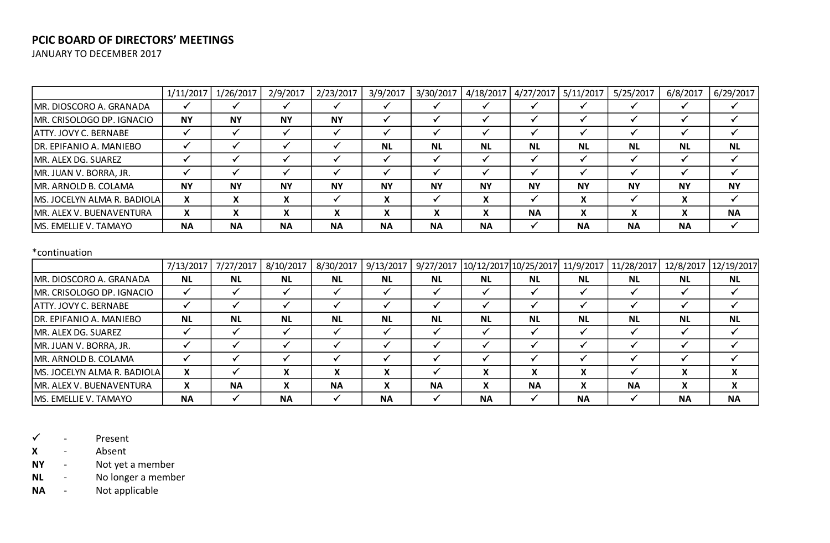# **PCIC BOARD OF DIRECTORS' MEETINGS**

JANUARY TO DECEMBER 2017

|                              | 1/11/2017 | 1/26/2017 | 2/9/2017  | 2/23/2017    | 3/9/2017  | 3/30/2017                   | 4/18/2017                 | 4/27/2017 | 5/11/2017                              | 5/25/2017    | 6/8/2017  | 6/29/2017 |
|------------------------------|-----------|-----------|-----------|--------------|-----------|-----------------------------|---------------------------|-----------|----------------------------------------|--------------|-----------|-----------|
| MR. DIOSCORO A. GRANADA      |           |           |           |              |           |                             |                           |           |                                        |              |           |           |
| MR. CRISOLOGO DP. IGNACIO    | <b>NY</b> | <b>NY</b> | <b>NY</b> | <b>NY</b>    |           |                             |                           |           |                                        |              |           |           |
| <b>ATTY. JOVY C. BERNABE</b> |           |           |           |              |           |                             |                           |           |                                        |              |           |           |
| DR. EPIFANIO A. MANIEBO      |           |           |           |              | <b>NL</b> | <b>NL</b>                   | <b>NL</b>                 | <b>NL</b> | <b>NL</b>                              | <b>NL</b>    | <b>NL</b> | <b>NL</b> |
| MR. ALEX DG. SUAREZ          |           |           |           |              |           |                             |                           |           |                                        |              |           |           |
| MR. JUAN V. BORRA, JR.       |           |           |           |              |           |                             |                           |           |                                        |              |           |           |
| MR. ARNOLD B. COLAMA         | <b>NY</b> | <b>NY</b> | <b>NY</b> | <b>NY</b>    | <b>NY</b> | <b>NY</b>                   | <b>NY</b>                 | <b>NY</b> | <b>NY</b>                              | <b>NY</b>    | <b>NY</b> | <b>NY</b> |
| MS. JOCELYN ALMA R. BADIOLA  | X         |           | X         |              | X         |                             | X                         |           | $\mathbf{v}$                           |              |           |           |
| MR. ALEX V. BUENAVENTURA     | X         |           | X.        | $\mathbf{v}$ | X         | $\mathbf v$<br>$\mathbf{v}$ | $\mathbf{v}$<br>$\lambda$ | <b>NA</b> | $\mathbf{v}$<br>$\boldsymbol{\lambda}$ | $\mathbf{A}$ |           | <b>NA</b> |
| <b>MS. EMELLIE V. TAMAYO</b> | <b>NA</b> | <b>NA</b> | <b>NA</b> | <b>NA</b>    | <b>NA</b> | <b>NA</b>                   | <b>NA</b>                 |           | <b>NA</b>                              | <b>NA</b>    | <b>NA</b> |           |

#### \*continuation

|                              | 7/13/2017 | 7/27/2017 | 8/10/2017 | 8/30/2017 | 9/13/2017 | 9/27/2017 |           | 10/12/2017 10/25/2017 | 11/9/2017 | 11/28/2017 |           | 12/8/2017   12/19/2017 |
|------------------------------|-----------|-----------|-----------|-----------|-----------|-----------|-----------|-----------------------|-----------|------------|-----------|------------------------|
| MR. DIOSCORO A. GRANADA      | <b>NL</b> | <b>NL</b> | <b>NL</b> | <b>NL</b> | <b>NL</b> | <b>NL</b> | <b>NL</b> | <b>NL</b>             | <b>NL</b> | <b>NL</b>  | <b>NL</b> | <b>NL</b>              |
| MR. CRISOLOGO DP. IGNACIO    |           |           |           |           |           |           |           |                       |           |            |           |                        |
| ATTY. JOVY C. BERNABE        |           |           |           |           |           |           |           |                       |           |            |           |                        |
| DR. EPIFANIO A. MANIEBO      | <b>NL</b> | <b>NL</b> | <b>NL</b> | <b>NL</b> | <b>NL</b> | <b>NL</b> | <b>NL</b> | <b>NL</b>             | <b>NL</b> | <b>NL</b>  | <b>NL</b> | <b>NL</b>              |
| MR. ALEX DG. SUAREZ          |           |           |           |           |           |           |           |                       |           |            |           |                        |
| MR. JUAN V. BORRA, JR.       |           |           |           |           |           |           |           |                       |           |            |           |                        |
| MR. ARNOLD B. COLAMA         |           |           |           |           |           |           |           |                       |           |            |           |                        |
| MS. JOCELYN ALMA R. BADIOLA  | X         |           | X         | X         | X         |           | X         |                       | X         |            |           | X                      |
| MR. ALEX V. BUENAVENTURA     | X         | <b>NA</b> | X         | <b>NA</b> | X         | <b>NA</b> | X         | <b>NA</b>             | X         | <b>NA</b>  |           | x                      |
| <b>MS. EMELLIE V. TAMAYO</b> | <b>NA</b> |           | <b>NA</b> |           | <b>NA</b> |           | <b>NA</b> |                       | <b>NA</b> |            | <b>NA</b> | <b>NA</b>              |

 $\checkmark$  - Present

**X** - Absent

**NY** - Not yet a member

**NL** - No longer a member

**NA** - Not applicable